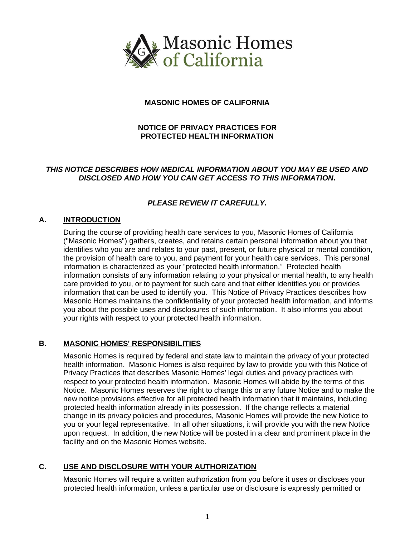

# **MASONIC HOMES OF CALIFORNIA**

# **NOTICE OF PRIVACY PRACTICES FOR PROTECTED HEALTH INFORMATION**

# *THIS NOTICE DESCRIBES HOW MEDICAL INFORMATION ABOUT YOU MAY BE USED AND DISCLOSED AND HOW YOU CAN GET ACCESS TO THIS INFORMATION.*

# *PLEASE REVIEW IT CAREFULLY.*

# **A. INTRODUCTION**

During the course of providing health care services to you, Masonic Homes of California ("Masonic Homes") gathers, creates, and retains certain personal information about you that identifies who you are and relates to your past, present, or future physical or mental condition, the provision of health care to you, and payment for your health care services. This personal information is characterized as your "protected health information." Protected health information consists of any information relating to your physical or mental health, to any health care provided to you, or to payment for such care and that either identifies you or provides information that can be used to identify you. This Notice of Privacy Practices describes how Masonic Homes maintains the confidentiality of your protected health information, and informs you about the possible uses and disclosures of such information. It also informs you about your rights with respect to your protected health information.

# **B. MASONIC HOMES' RESPONSIBILITIES**

Masonic Homes is required by federal and state law to maintain the privacy of your protected health information. Masonic Homes is also required by law to provide you with this Notice of Privacy Practices that describes Masonic Homes' legal duties and privacy practices with respect to your protected health information. Masonic Homes will abide by the terms of this Notice. Masonic Homes reserves the right to change this or any future Notice and to make the new notice provisions effective for all protected health information that it maintains, including protected health information already in its possession. If the change reflects a material change in its privacy policies and procedures, Masonic Homes will provide the new Notice to you or your legal representative. In all other situations, it will provide you with the new Notice upon request. In addition, the new Notice will be posted in a clear and prominent place in the facility and on the Masonic Homes website.

# **C. USE AND DISCLOSURE WITH YOUR AUTHORIZATION**

Masonic Homes will require a written authorization from you before it uses or discloses your protected health information, unless a particular use or disclosure is expressly permitted or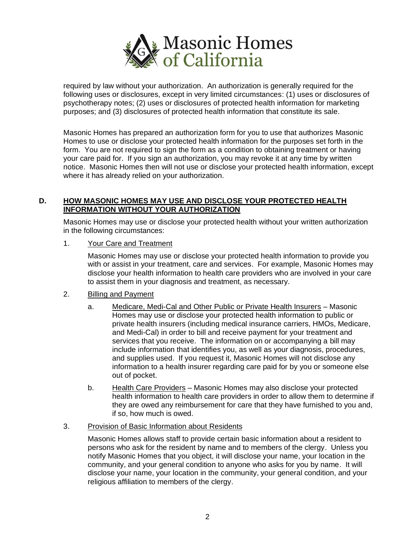

required by law without your authorization. An authorization is generally required for the following uses or disclosures, except in very limited circumstances: (1) uses or disclosures of psychotherapy notes; (2) uses or disclosures of protected health information for marketing purposes; and (3) disclosures of protected health information that constitute its sale.

Masonic Homes has prepared an authorization form for you to use that authorizes Masonic Homes to use or disclose your protected health information for the purposes set forth in the form. You are not required to sign the form as a condition to obtaining treatment or having your care paid for. If you sign an authorization, you may revoke it at any time by written notice. Masonic Homes then will not use or disclose your protected health information, except where it has already relied on your authorization.

# **D. HOW MASONIC HOMES MAY USE AND DISCLOSE YOUR PROTECTED HEALTH INFORMATION WITHOUT YOUR AUTHORIZATION**

Masonic Homes may use or disclose your protected health without your written authorization in the following circumstances:

1. Your Care and Treatment

Masonic Homes may use or disclose your protected health information to provide you with or assist in your treatment, care and services. For example, Masonic Homes may disclose your health information to health care providers who are involved in your care to assist them in your diagnosis and treatment, as necessary.

- 2. Billing and Payment
	- a. Medicare, Medi-Cal and Other Public or Private Health Insurers Masonic Homes may use or disclose your protected health information to public or private health insurers (including medical insurance carriers, HMOs, Medicare, and Medi-Cal) in order to bill and receive payment for your treatment and services that you receive. The information on or accompanying a bill may include information that identifies you, as well as your diagnosis, procedures, and supplies used. If you request it, Masonic Homes will not disclose any information to a health insurer regarding care paid for by you or someone else out of pocket.
	- b. Health Care Providers Masonic Homes may also disclose your protected health information to health care providers in order to allow them to determine if they are owed any reimbursement for care that they have furnished to you and, if so, how much is owed.
- 3. Provision of Basic Information about Residents

Masonic Homes allows staff to provide certain basic information about a resident to persons who ask for the resident by name and to members of the clergy. Unless you notify Masonic Homes that you object, it will disclose your name, your location in the community, and your general condition to anyone who asks for you by name. It will disclose your name, your location in the community, your general condition, and your religious affiliation to members of the clergy.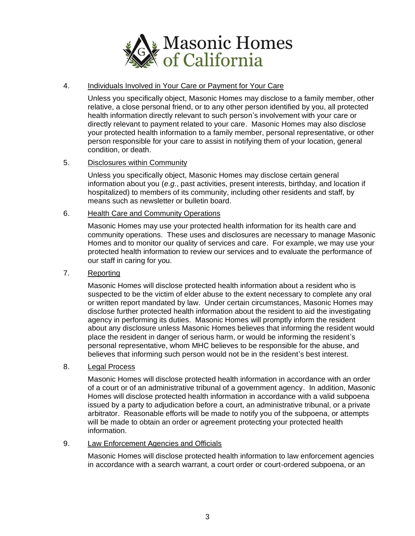

# 4. Individuals Involved in Your Care or Payment for Your Care

Unless you specifically object, Masonic Homes may disclose to a family member, other relative, a close personal friend, or to any other person identified by you, all protected health information directly relevant to such person's involvement with your care or directly relevant to payment related to your care. Masonic Homes may also disclose your protected health information to a family member, personal representative, or other person responsible for your care to assist in notifying them of your location, general condition, or death.

# 5. Disclosures within Community

Unless you specifically object, Masonic Homes may disclose certain general information about you (*e.g.*, past activities, present interests, birthday, and location if hospitalized) to members of its community, including other residents and staff, by means such as newsletter or bulletin board.

#### 6. Health Care and Community Operations

Masonic Homes may use your protected health information for its health care and community operations. These uses and disclosures are necessary to manage Masonic Homes and to monitor our quality of services and care. For example, we may use your protected health information to review our services and to evaluate the performance of our staff in caring for you.

# 7. Reporting

Masonic Homes will disclose protected health information about a resident who is suspected to be the victim of elder abuse to the extent necessary to complete any oral or written report mandated by law. Under certain circumstances, Masonic Homes may disclose further protected health information about the resident to aid the investigating agency in performing its duties. Masonic Homes will promptly inform the resident about any disclosure unless Masonic Homes believes that informing the resident would place the resident in danger of serious harm, or would be informing the resident's personal representative, whom MHC believes to be responsible for the abuse, and believes that informing such person would not be in the resident's best interest.

#### 8. Legal Process

Masonic Homes will disclose protected health information in accordance with an order of a court or of an administrative tribunal of a government agency. In addition, Masonic Homes will disclose protected health information in accordance with a valid subpoena issued by a party to adjudication before a court, an administrative tribunal, or a private arbitrator. Reasonable efforts will be made to notify you of the subpoena, or attempts will be made to obtain an order or agreement protecting your protected health information.

#### 9. Law Enforcement Agencies and Officials

Masonic Homes will disclose protected health information to law enforcement agencies in accordance with a search warrant, a court order or court-ordered subpoena, or an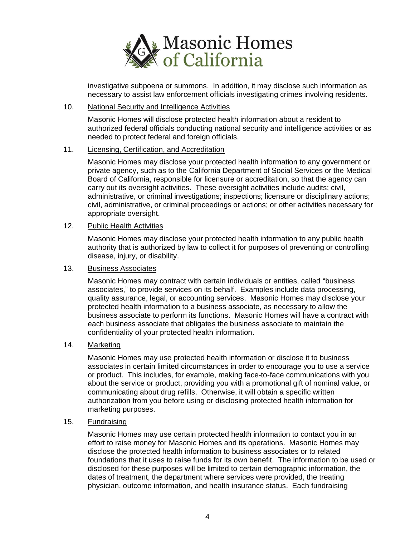

investigative subpoena or summons. In addition, it may disclose such information as necessary to assist law enforcement officials investigating crimes involving residents.

#### 10. National Security and Intelligence Activities

Masonic Homes will disclose protected health information about a resident to authorized federal officials conducting national security and intelligence activities or as needed to protect federal and foreign officials.

# 11. Licensing, Certification, and Accreditation

Masonic Homes may disclose your protected health information to any government or private agency, such as to the California Department of Social Services or the Medical Board of California, responsible for licensure or accreditation, so that the agency can carry out its oversight activities. These oversight activities include audits; civil, administrative, or criminal investigations; inspections; licensure or disciplinary actions; civil, administrative, or criminal proceedings or actions; or other activities necessary for appropriate oversight.

#### 12. Public Health Activities

Masonic Homes may disclose your protected health information to any public health authority that is authorized by law to collect it for purposes of preventing or controlling disease, injury, or disability.

### 13. Business Associates

Masonic Homes may contract with certain individuals or entities, called "business associates," to provide services on its behalf. Examples include data processing, quality assurance, legal, or accounting services. Masonic Homes may disclose your protected health information to a business associate, as necessary to allow the business associate to perform its functions. Masonic Homes will have a contract with each business associate that obligates the business associate to maintain the confidentiality of your protected health information.

# 14. Marketing

Masonic Homes may use protected health information or disclose it to business associates in certain limited circumstances in order to encourage you to use a service or product. This includes, for example, making face-to-face communications with you about the service or product, providing you with a promotional gift of nominal value, or communicating about drug refills. Otherwise, it will obtain a specific written authorization from you before using or disclosing protected health information for marketing purposes.

#### 15. Fundraising

Masonic Homes may use certain protected health information to contact you in an effort to raise money for Masonic Homes and its operations. Masonic Homes may disclose the protected health information to business associates or to related foundations that it uses to raise funds for its own benefit. The information to be used or disclosed for these purposes will be limited to certain demographic information, the dates of treatment, the department where services were provided, the treating physician, outcome information, and health insurance status. Each fundraising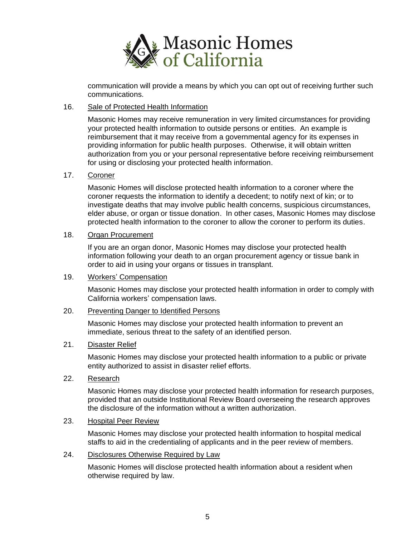

communication will provide a means by which you can opt out of receiving further such communications.

#### 16. Sale of Protected Health Information

Masonic Homes may receive remuneration in very limited circumstances for providing your protected health information to outside persons or entities. An example is reimbursement that it may receive from a governmental agency for its expenses in providing information for public health purposes. Otherwise, it will obtain written authorization from you or your personal representative before receiving reimbursement for using or disclosing your protected health information.

### 17. Coroner

Masonic Homes will disclose protected health information to a coroner where the coroner requests the information to identify a decedent; to notify next of kin; or to investigate deaths that may involve public health concerns, suspicious circumstances, elder abuse, or organ or tissue donation. In other cases, Masonic Homes may disclose protected health information to the coroner to allow the coroner to perform its duties.

#### 18. Organ Procurement

If you are an organ donor, Masonic Homes may disclose your protected health information following your death to an organ procurement agency or tissue bank in order to aid in using your organs or tissues in transplant.

#### 19. Workers' Compensation

Masonic Homes may disclose your protected health information in order to comply with California workers' compensation laws.

#### 20. Preventing Danger to Identified Persons

Masonic Homes may disclose your protected health information to prevent an immediate, serious threat to the safety of an identified person.

#### 21. Disaster Relief

Masonic Homes may disclose your protected health information to a public or private entity authorized to assist in disaster relief efforts.

22. Research

Masonic Homes may disclose your protected health information for research purposes, provided that an outside Institutional Review Board overseeing the research approves the disclosure of the information without a written authorization.

#### 23. Hospital Peer Review

Masonic Homes may disclose your protected health information to hospital medical staffs to aid in the credentialing of applicants and in the peer review of members.

# 24. Disclosures Otherwise Required by Law

Masonic Homes will disclose protected health information about a resident when otherwise required by law.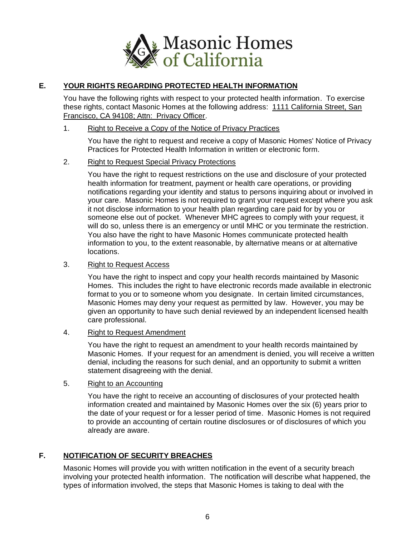

# **E. YOUR RIGHTS REGARDING PROTECTED HEALTH INFORMATION**

You have the following rights with respect to your protected health information. To exercise these rights, contact Masonic Homes at the following address: 1111 California Street, San Francisco, CA 94108; Attn: Privacy Officer.

### 1. Right to Receive a Copy of the Notice of Privacy Practices

You have the right to request and receive a copy of Masonic Homes' Notice of Privacy Practices for Protected Health Information in written or electronic form.

# 2. Right to Request Special Privacy Protections

You have the right to request restrictions on the use and disclosure of your protected health information for treatment, payment or health care operations, or providing notifications regarding your identity and status to persons inquiring about or involved in your care. Masonic Homes is not required to grant your request except where you ask it not disclose information to your health plan regarding care paid for by you or someone else out of pocket. Whenever MHC agrees to comply with your request, it will do so, unless there is an emergency or until MHC or you terminate the restriction. You also have the right to have Masonic Homes communicate protected health information to you, to the extent reasonable, by alternative means or at alternative locations.

### 3. Right to Request Access

You have the right to inspect and copy your health records maintained by Masonic Homes. This includes the right to have electronic records made available in electronic format to you or to someone whom you designate. In certain limited circumstances, Masonic Homes may deny your request as permitted by law. However, you may be given an opportunity to have such denial reviewed by an independent licensed health care professional.

# 4. Right to Request Amendment

You have the right to request an amendment to your health records maintained by Masonic Homes. If your request for an amendment is denied, you will receive a written denial, including the reasons for such denial, and an opportunity to submit a written statement disagreeing with the denial.

# 5. Right to an Accounting

You have the right to receive an accounting of disclosures of your protected health information created and maintained by Masonic Homes over the six (6) years prior to the date of your request or for a lesser period of time. Masonic Homes is not required to provide an accounting of certain routine disclosures or of disclosures of which you already are aware.

# **F. NOTIFICATION OF SECURITY BREACHES**

Masonic Homes will provide you with written notification in the event of a security breach involving your protected health information. The notification will describe what happened, the types of information involved, the steps that Masonic Homes is taking to deal with the